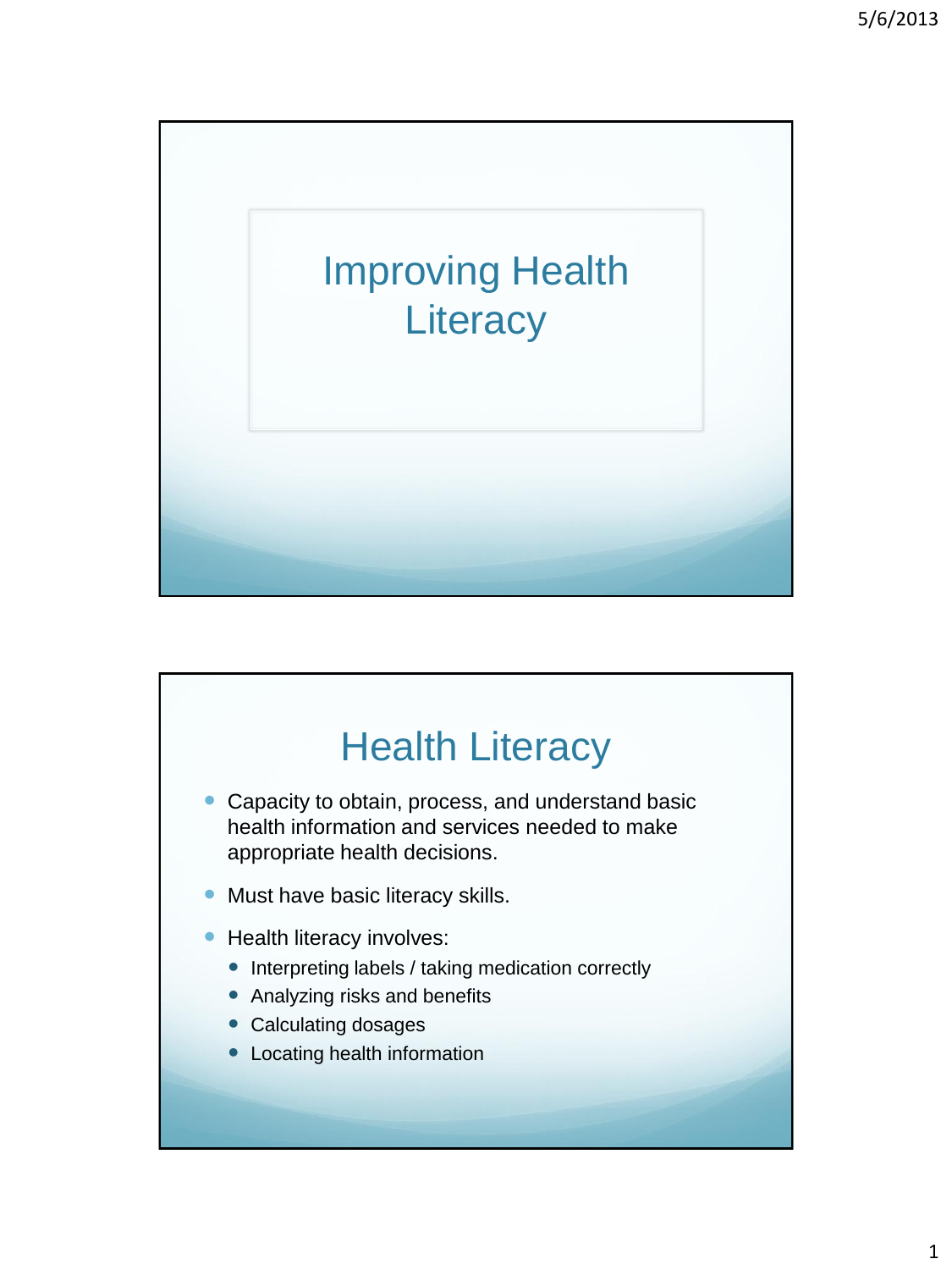

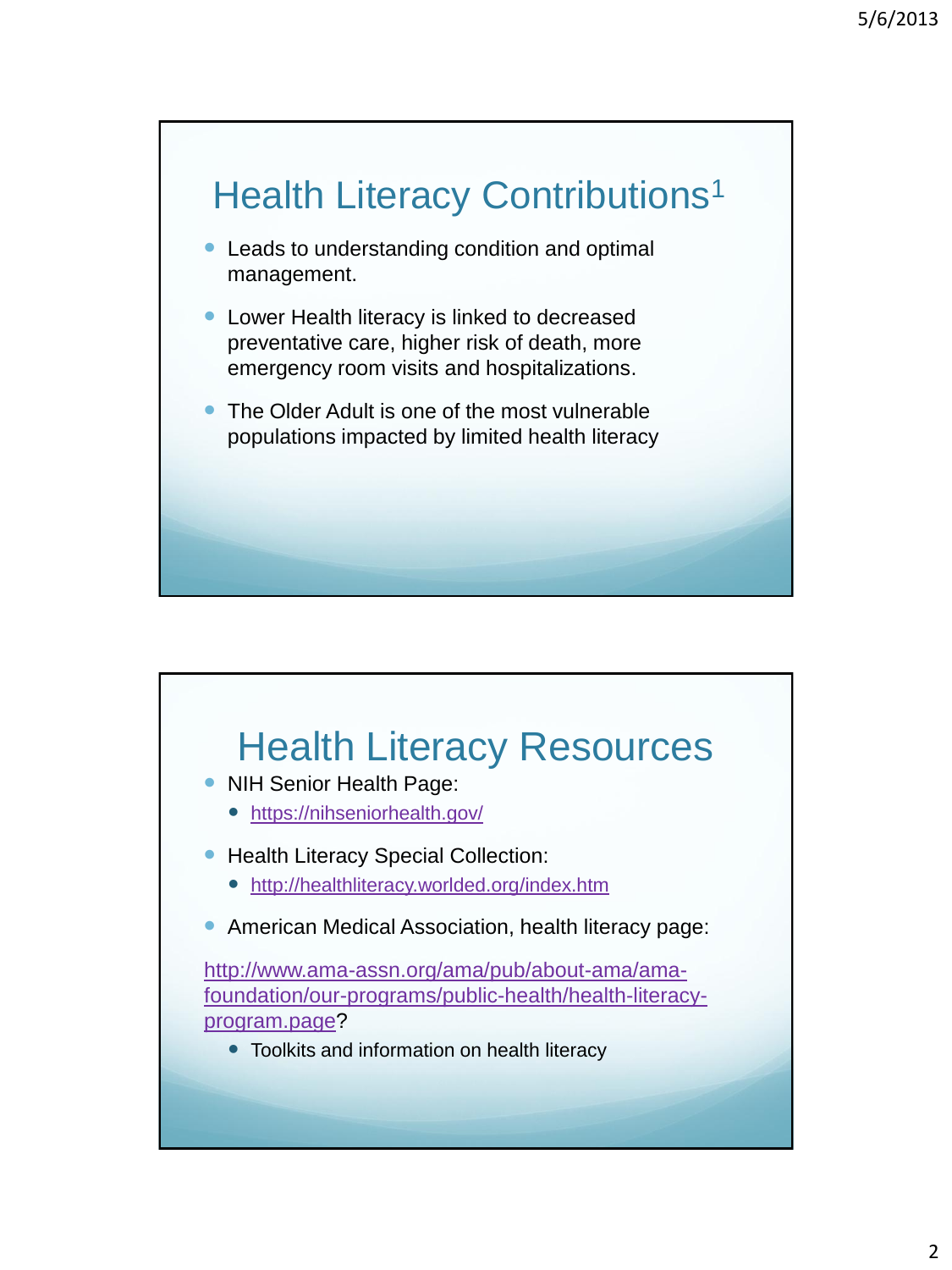## Health Literacy Contributions<sup>1</sup>

- Leads to understanding condition and optimal management.
- Lower Health literacy is linked to decreased preventative care, higher risk of death, more emergency room visits and hospitalizations.
- The Older Adult is one of the most vulnerable populations impacted by limited health literacy

## Health Literacy Resources

- NIH Senior Health Page:
	- <https://nihseniorhealth.gov/>
- Health Literacy Special Collection:
	- <http://healthliteracy.worlded.org/index.htm>
- **American Medical Association, health literacy page:**

[http://www.ama-assn.org/ama/pub/about-ama/ama](http://www.ama-assn.org/ama/pub/about-ama/ama-foundation/our-programs/public-health/health-literacy-program.page)[foundation/our-programs/public-health/health-literacy](http://www.ama-assn.org/ama/pub/about-ama/ama-foundation/our-programs/public-health/health-literacy-program.page)[program.page?](http://www.ama-assn.org/ama/pub/about-ama/ama-foundation/our-programs/public-health/health-literacy-program.page)

• Toolkits and information on health literacy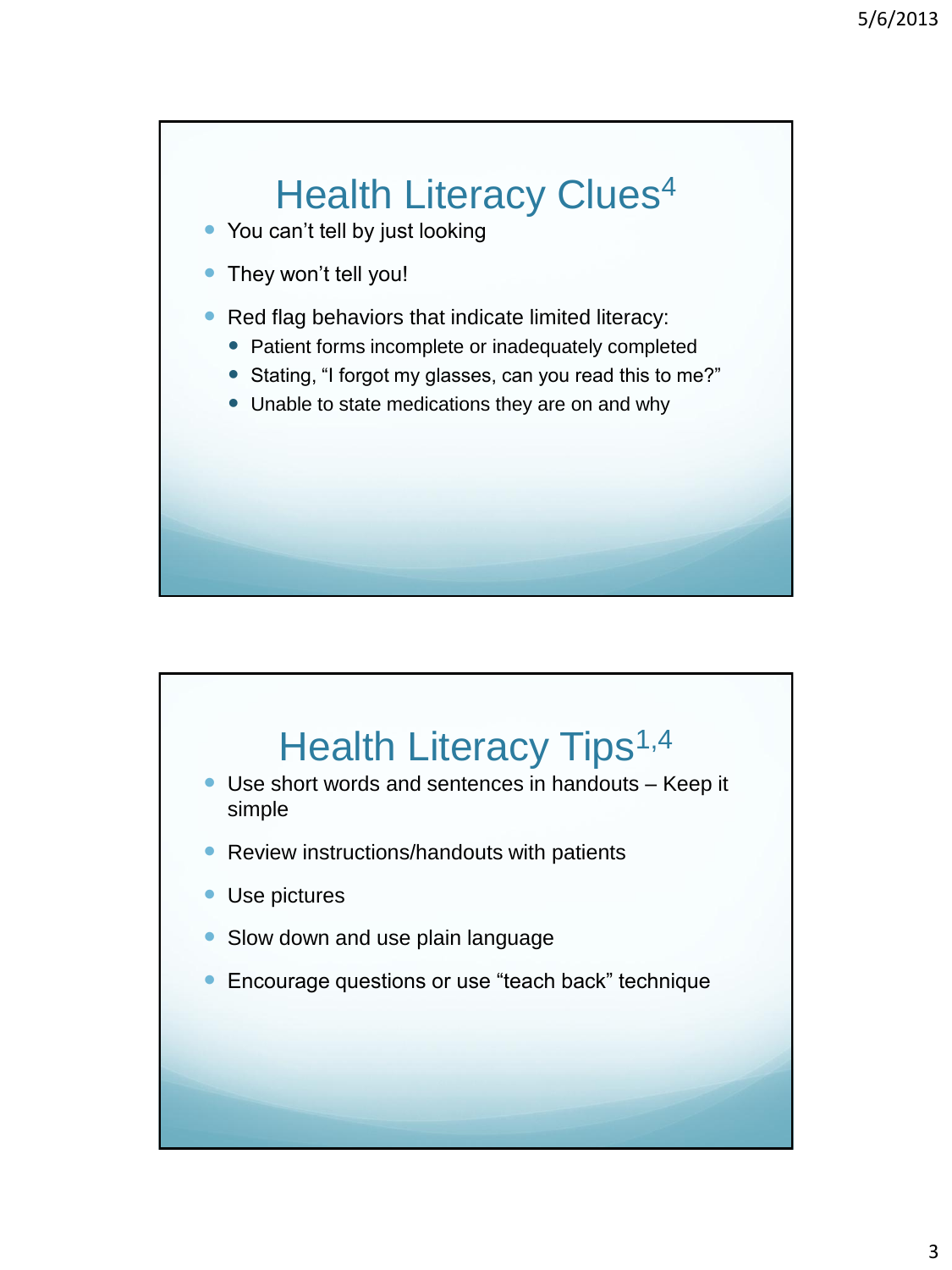## **Health Literacy Clues<sup>4</sup>**

- You can't tell by just looking
- They won't tell you!
- Red flag behaviors that indicate limited literacy:
	- Patient forms incomplete or inadequately completed
	- Stating, "I forgot my glasses, can you read this to me?"
	- Unable to state medications they are on and why

## Health Literacy Tips<sup>1,4</sup>

- Use short words and sentences in handouts Keep it simple
- Review instructions/handouts with patients
- Use pictures
- Slow down and use plain language
- **Encourage questions or use "teach back" technique**